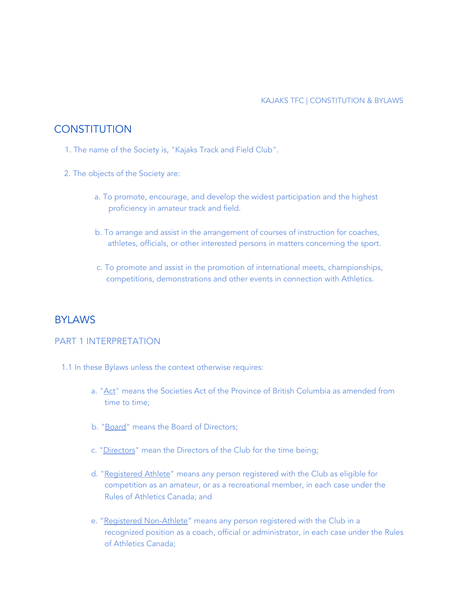# **CONSTITUTION**

- 1. The name of the Society is, "Kajaks Track and Field Club".
- 2. The objects of the Society are:
	- a. To promote, encourage, and develop the widest participation and the highest proficiency in amateur track and field.
	- b. To arrange and assist in the arrangement of courses of instruction for coaches, athletes, officials, or other interested persons in matters concerning the sport.
	- c. To promote and assist in the promotion of international meets, championships, competitions, demonstrations and other events in connection with Athletics.

# BYLAWS

### PART 1 INTERPRETATION

- 1.1 In these Bylaws unless the context otherwise requires:
	- a. "Act" means the Societies Act of the Province of British Columbia as amended from time to time;
	- b. "Board" means the Board of Directors;
	- c. "Directors" mean the Directors of the Club for the time being;
	- d. "Registered Athlete" means any person registered with the Club as eligible for competition as an amateur, or as a recreational member, in each case under the Rules of Athletics Canada; and
	- e. "Registered Non-Athlete" means any person registered with the Club in a recognized position as a coach, official or administrator, in each case under the Rules of Athletics Canada;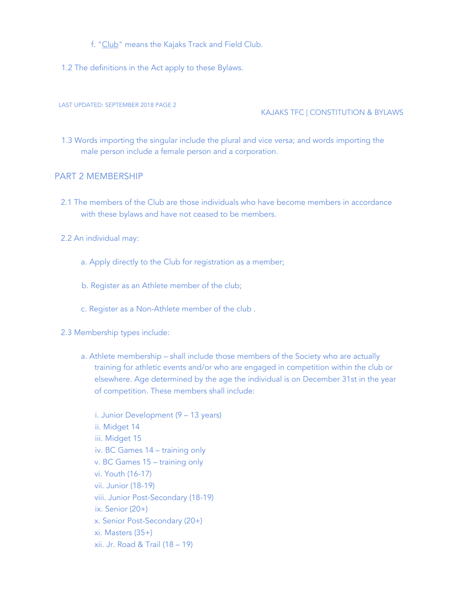- f. "Club" means the Kajaks Track and Field Club.
- 1.2 The definitions in the Act apply to these Bylaws.

KAJAKS TFC | CONSTITUTION & BYLAWS

1.3 Words importing the singular include the plural and vice versa; and words importing the male person include a female person and a corporation.

### PART 2 MEMBERSHIP

- 2.1 The members of the Club are those individuals who have become members in accordance with these bylaws and have not ceased to be members.
- 2.2 An individual may:
	- a. Apply directly to the Club for registration as a member;
	- b. Register as an Athlete member of the club;
	- c. Register as a Non-Athlete member of the club .
- 2.3 Membership types include:
	- a. Athlete membership shall include those members of the Society who are actually training for athletic events and/or who are engaged in competition within the club or elsewhere. Age determined by the age the individual is on December 31st in the year of competition. These members shall include:

i. Junior Development (9 – 13 years) ii. Midget 14 iii. Midget 15 iv. BC Games 14 – training only v. BC Games 15 – training only vi. Youth (16-17) vii. Junior (18-19) viii. Junior Post-Secondary (18-19) ix. Senior (20+) x. Senior Post-Secondary (20+) xi. Masters (35+) xii. Jr. Road & Trail (18 – 19)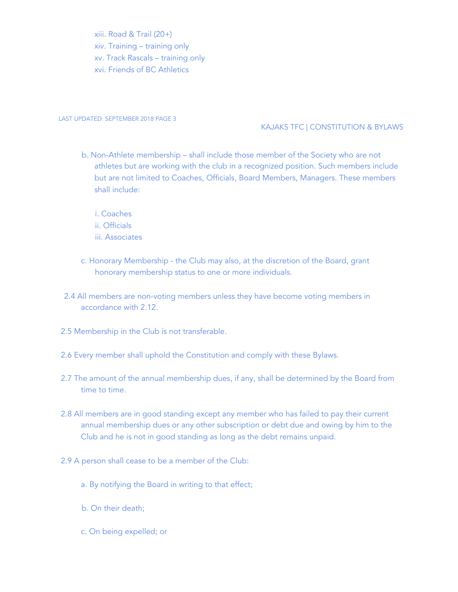xiii. Road & Trail (20+) xiv. Training – training only xv. Track Rascals – training only xvi. Friends of BC Athletics

#### LAST UPDATED: SEPTEMBER 2018 PAGE 3

#### KAJAKS TFC | CONSTITUTION & BYLAWS

- b. Non-Athlete membership shall include those member of the Society who are not athletes but are working with the club in a recognized position. Such members include but are not limited to Coaches, Officials, Board Members, Managers. These members shall include:
	- i. Coaches ii. Officials iii. Associates
- c. Honorary Membership the Club may also, at the discretion of the Board, grant honorary membership status to one or more individuals.
- 2.4 All members are non-voting members unless they have become voting members in accordance with 2.12.
- 2.5 Membership in the Club is not transferable.
- 2.6 Every member shall uphold the Constitution and comply with these Bylaws.
- 2.7 The amount of the annual membership dues, if any, shall be determined by the Board from time to time.
- 2.8 All members are in good standing except any member who has failed to pay their current annual membership dues or any other subscription or debt due and owing by him to the Club and he is not in good standing as long as the debt remains unpaid.
- 2.9 A person shall cease to be a member of the Club:
	- a. By notifying the Board in writing to that effect;
	- b. On their death;
	- c. On being expelled; or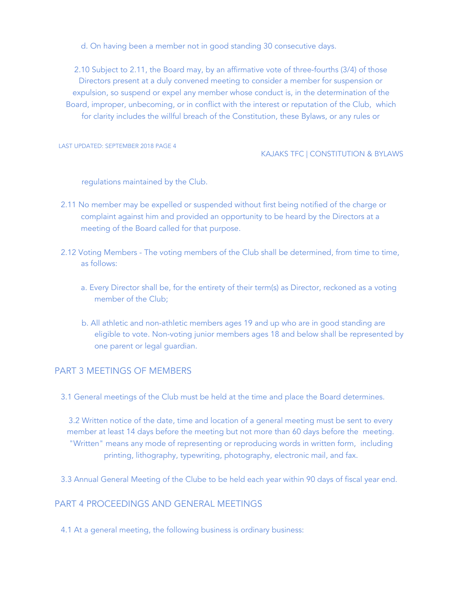d. On having been a member not in good standing 30 consecutive days.

2.10 Subject to 2.11, the Board may, by an affirmative vote of three-fourths (3/4) of those Directors present at a duly convened meeting to consider a member for suspension or expulsion, so suspend or expel any member whose conduct is, in the determination of the Board, improper, unbecoming, or in conflict with the interest or reputation of the Club, which for clarity includes the willful breach of the Constitution, these Bylaws, or any rules or

LAST UPDATED: SEPTEMBER 2018 PAGE 4

#### KAJAKS TFC | CONSTITUTION & BYLAWS

regulations maintained by the Club.

- 2.11 No member may be expelled or suspended without first being notified of the charge or complaint against him and provided an opportunity to be heard by the Directors at a meeting of the Board called for that purpose.
- 2.12 Voting Members The voting members of the Club shall be determined, from time to time, as follows:
	- a. Every Director shall be, for the entirety of their term(s) as Director, reckoned as a voting member of the Club;
	- b. All athletic and non-athletic members ages 19 and up who are in good standing are eligible to vote. Non-voting junior members ages 18 and below shall be represented by one parent or legal guardian.

## PART 3 MEETINGS OF MEMBERS

3.1 General meetings of the Club must be held at the time and place the Board determines.

3.2 Written notice of the date, time and location of a general meeting must be sent to every member at least 14 days before the meeting but not more than 60 days before the meeting. "Written" means any mode of representing or reproducing words in written form, including printing, lithography, typewriting, photography, electronic mail, and fax.

3.3 Annual General Meeting of the Clube to be held each year within 90 days of fiscal year end.

## PART 4 PROCEEDINGS AND GENERAL MEETINGS

4.1 At a general meeting, the following business is ordinary business: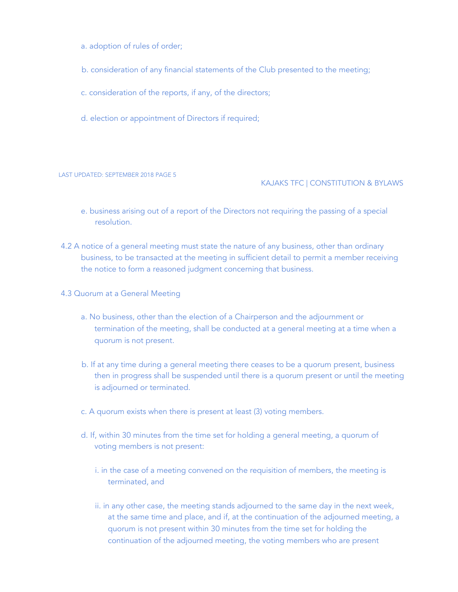- a. adoption of rules of order;
- b. consideration of any financial statements of the Club presented to the meeting;
- c. consideration of the reports, if any, of the directors;
- d. election or appointment of Directors if required;

#### KAJAKS TFC | CONSTITUTION & BYLAWS

- e. business arising out of a report of the Directors not requiring the passing of a special resolution.
- 4.2 A notice of a general meeting must state the nature of any business, other than ordinary business, to be transacted at the meeting in sufficient detail to permit a member receiving the notice to form a reasoned judgment concerning that business.
- 4.3 Quorum at a General Meeting
	- a. No business, other than the election of a Chairperson and the adjournment or termination of the meeting, shall be conducted at a general meeting at a time when a quorum is not present.
	- b. If at any time during a general meeting there ceases to be a quorum present, business then in progress shall be suspended until there is a quorum present or until the meeting is adjourned or terminated.
	- c. A quorum exists when there is present at least (3) voting members.
	- d. If, within 30 minutes from the time set for holding a general meeting, a quorum of voting members is not present:
		- i. in the case of a meeting convened on the requisition of members, the meeting is terminated, and
		- ii. in any other case, the meeting stands adjourned to the same day in the next week, at the same time and place, and if, at the continuation of the adjourned meeting, a quorum is not present within 30 minutes from the time set for holding the continuation of the adjourned meeting, the voting members who are present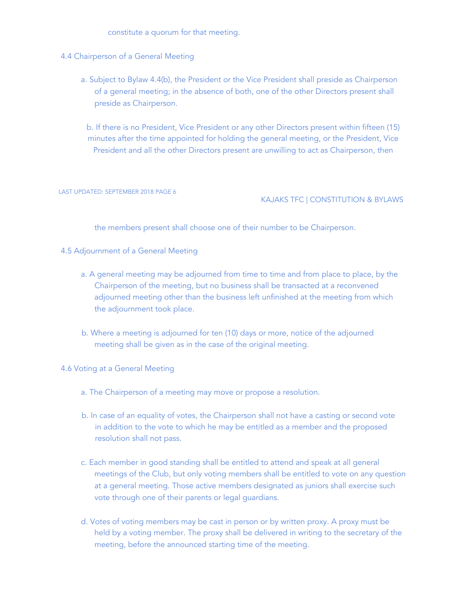constitute a quorum for that meeting.

- 4.4 Chairperson of a General Meeting
	- a. Subject to Bylaw 4.4(b), the President or the Vice President shall preside as Chairperson of a general meeting; in the absence of both, one of the other Directors present shall preside as Chairperson.

b. If there is no President, Vice President or any other Directors present within fifteen (15) minutes after the time appointed for holding the general meeting, or the President, Vice President and all the other Directors present are unwilling to act as Chairperson, then

LAST UPDATED: SEPTEMBER 2018 PAGE 6

### KAJAKS TFC | CONSTITUTION & BYLAWS

the members present shall choose one of their number to be Chairperson.

#### 4.5 Adjournment of a General Meeting

- a. A general meeting may be adjourned from time to time and from place to place, by the Chairperson of the meeting, but no business shall be transacted at a reconvened adjourned meeting other than the business left unfinished at the meeting from which the adjournment took place.
- b. Where a meeting is adjourned for ten (10) days or more, notice of the adjourned meeting shall be given as in the case of the original meeting.

4.6 Voting at a General Meeting

- a. The Chairperson of a meeting may move or propose a resolution.
- b. In case of an equality of votes, the Chairperson shall not have a casting or second vote in addition to the vote to which he may be entitled as a member and the proposed resolution shall not pass.
- c. Each member in good standing shall be entitled to attend and speak at all general meetings of the Club, but only voting members shall be entitled to vote on any question at a general meeting. Those active members designated as juniors shall exercise such vote through one of their parents or legal guardians.
- d. Votes of voting members may be cast in person or by written proxy. A proxy must be held by a voting member. The proxy shall be delivered in writing to the secretary of the meeting, before the announced starting time of the meeting.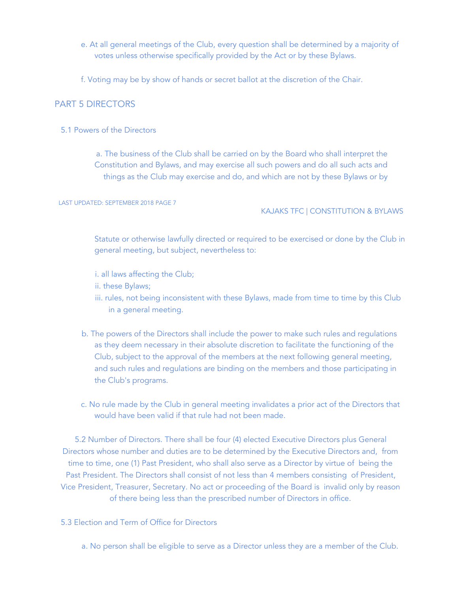- e. At all general meetings of the Club, every question shall be determined by a majority of votes unless otherwise specifically provided by the Act or by these Bylaws.
- f. Voting may be by show of hands or secret ballot at the discretion of the Chair.

## PART 5 DIRECTORS

5.1 Powers of the Directors

a. The business of the Club shall be carried on by the Board who shall interpret the Constitution and Bylaws, and may exercise all such powers and do all such acts and things as the Club may exercise and do, and which are not by these Bylaws or by

LAST UPDATED: SEPTEMBER 2018 PAGE 7

#### KAJAKS TFC | CONSTITUTION & BYLAWS

Statute or otherwise lawfully directed or required to be exercised or done by the Club in general meeting, but subject, nevertheless to:

- i. all laws affecting the Club;
- ii. these Bylaws;
- iii. rules, not being inconsistent with these Bylaws, made from time to time by this Club in a general meeting.
- b. The powers of the Directors shall include the power to make such rules and regulations as they deem necessary in their absolute discretion to facilitate the functioning of the Club, subject to the approval of the members at the next following general meeting, and such rules and regulations are binding on the members and those participating in the Club's programs.
- c. No rule made by the Club in general meeting invalidates a prior act of the Directors that would have been valid if that rule had not been made.

5.2 Number of Directors. There shall be four (4) elected Executive Directors plus General Directors whose number and duties are to be determined by the Executive Directors and, from time to time, one (1) Past President, who shall also serve as a Director by virtue of being the Past President. The Directors shall consist of not less than 4 members consisting of President, Vice President, Treasurer, Secretary. No act or proceeding of the Board is invalid only by reason of there being less than the prescribed number of Directors in office.

### 5.3 Election and Term of Office for Directors

a. No person shall be eligible to serve as a Director unless they are a member of the Club.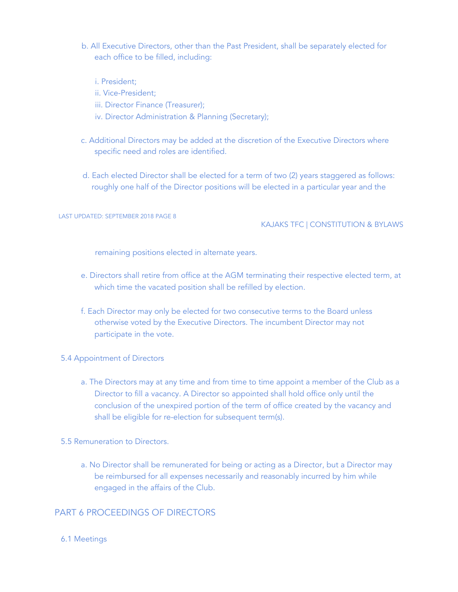- b. All Executive Directors, other than the Past President, shall be separately elected for each office to be filled, including:
	- i. President;
	- ii. Vice-President;
	- iii. Director Finance (Treasurer);
	- iv. Director Administration & Planning (Secretary);
- c. Additional Directors may be added at the discretion of the Executive Directors where specific need and roles are identified.
- d. Each elected Director shall be elected for a term of two (2) years staggered as follows: roughly one half of the Director positions will be elected in a particular year and the

#### KAJAKS TFC | CONSTITUTION & BYLAWS

remaining positions elected in alternate years.

- e. Directors shall retire from office at the AGM terminating their respective elected term, at which time the vacated position shall be refilled by election.
- f. Each Director may only be elected for two consecutive terms to the Board unless otherwise voted by the Executive Directors. The incumbent Director may not participate in the vote.

#### 5.4 Appointment of Directors

- a. The Directors may at any time and from time to time appoint a member of the Club as a Director to fill a vacancy. A Director so appointed shall hold office only until the conclusion of the unexpired portion of the term of office created by the vacancy and shall be eligible for re-election for subsequent term(s).
- 5.5 Remuneration to Directors.
	- a. No Director shall be remunerated for being or acting as a Director, but a Director may be reimbursed for all expenses necessarily and reasonably incurred by him while engaged in the affairs of the Club.

## PART 6 PROCEEDINGS OF DIRECTORS

6.1 Meetings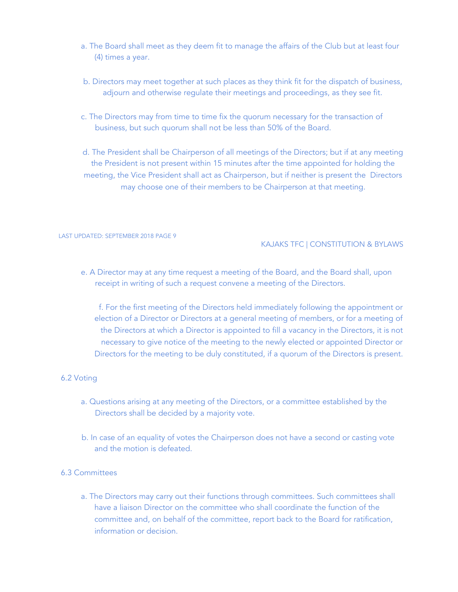- a. The Board shall meet as they deem fit to manage the affairs of the Club but at least four (4) times a year.
- b. Directors may meet together at such places as they think fit for the dispatch of business, adjourn and otherwise regulate their meetings and proceedings, as they see fit.
- c. The Directors may from time to time fix the quorum necessary for the transaction of business, but such quorum shall not be less than 50% of the Board.

d. The President shall be Chairperson of all meetings of the Directors; but if at any meeting the President is not present within 15 minutes after the time appointed for holding the meeting, the Vice President shall act as Chairperson, but if neither is present the Directors may choose one of their members to be Chairperson at that meeting.

#### LAST UPDATED: SEPTEMBER 2018 PAGE 9

#### KAJAKS TFC | CONSTITUTION & BYLAWS

e. A Director may at any time request a meeting of the Board, and the Board shall, upon receipt in writing of such a request convene a meeting of the Directors.

f. For the first meeting of the Directors held immediately following the appointment or election of a Director or Directors at a general meeting of members, or for a meeting of the Directors at which a Director is appointed to fill a vacancy in the Directors, it is not necessary to give notice of the meeting to the newly elected or appointed Director or Directors for the meeting to be duly constituted, if a quorum of the Directors is present.

### 6.2 Voting

- a. Questions arising at any meeting of the Directors, or a committee established by the Directors shall be decided by a majority vote.
- b. In case of an equality of votes the Chairperson does not have a second or casting vote and the motion is defeated.

### 6.3 Committees

a. The Directors may carry out their functions through committees. Such committees shall have a liaison Director on the committee who shall coordinate the function of the committee and, on behalf of the committee, report back to the Board for ratification, information or decision.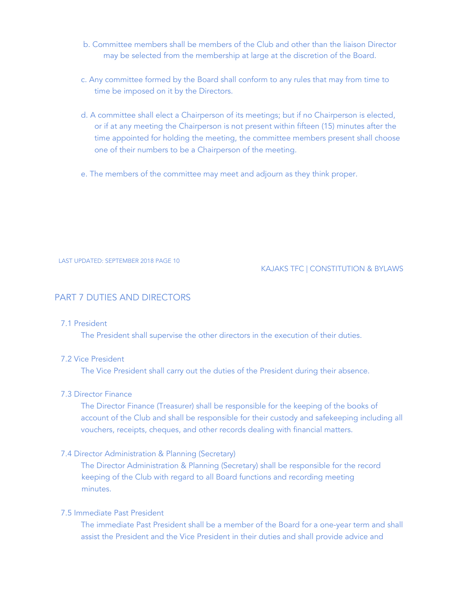- b. Committee members shall be members of the Club and other than the liaison Director may be selected from the membership at large at the discretion of the Board.
- c. Any committee formed by the Board shall conform to any rules that may from time to time be imposed on it by the Directors.
- d. A committee shall elect a Chairperson of its meetings; but if no Chairperson is elected, or if at any meeting the Chairperson is not present within fifteen (15) minutes after the time appointed for holding the meeting, the committee members present shall choose one of their numbers to be a Chairperson of the meeting.
- e. The members of the committee may meet and adjourn as they think proper.

#### KAJAKS TFC | CONSTITUTION & BYLAWS

### PART 7 DUTIES AND DIRECTORS

#### 7.1 President

The President shall supervise the other directors in the execution of their duties.

### 7.2 Vice President

The Vice President shall carry out the duties of the President during their absence.

#### 7.3 Director Finance

The Director Finance (Treasurer) shall be responsible for the keeping of the books of account of the Club and shall be responsible for their custody and safekeeping including all vouchers, receipts, cheques, and other records dealing with financial matters.

#### 7.4 Director Administration & Planning (Secretary)

The Director Administration & Planning (Secretary) shall be responsible for the record keeping of the Club with regard to all Board functions and recording meeting minutes.

## 7.5 Immediate Past President

The immediate Past President shall be a member of the Board for a one-year term and shall assist the President and the Vice President in their duties and shall provide advice and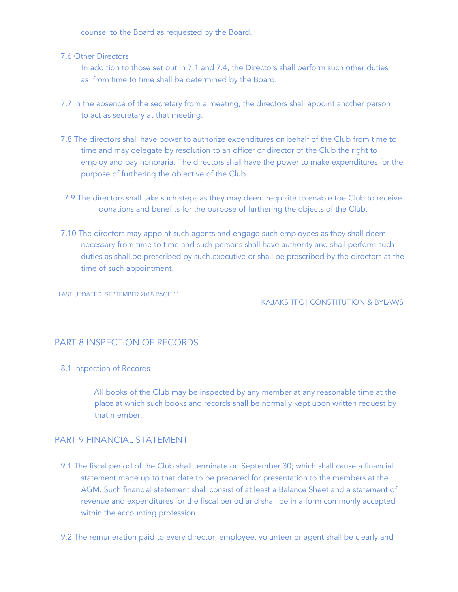counsel to the Board as requested by the Board.

7.6 Other Directors

In addition to those set out in 7.1 and 7.4, the Directors shall perform such other duties as from time to time shall be determined by the Board.

- 7.7 In the absence of the secretary from a meeting, the directors shall appoint another person to act as secretary at that meeting.
- 7.8 The directors shall have power to authorize expenditures on behalf of the Club from time to time and may delegate by resolution to an officer or director of the Club the right to employ and pay honoraria. The directors shall have the power to make expenditures for the purpose of furthering the objective of the Club.
- 7.9 The directors shall take such steps as they may deem requisite to enable toe Club to receive donations and benefits for the purpose of furthering the objects of the Club.
- 7.10 The directors may appoint such agents and engage such employees as they shall deem necessary from time to time and such persons shall have authority and shall perform such duties as shall be prescribed by such executive or shall be prescribed by the directors at the time of such appointment.

LAST UPDATED: SEPTEMBER 2018 PAGE 11

KAJAKS TFC | CONSTITUTION & BYLAWS

# PART 8 INSPECTION OF RECORDS

#### 8.1 Inspection of Records

All books of the Club may be inspected by any member at any reasonable time at the place at which such books and records shall be normally kept upon written request by that member.

## PART 9 FINANCIAL STATEMENT

- 9.1 The fiscal period of the Club shall terminate on September 30; which shall cause a financial statement made up to that date to be prepared for presentation to the members at the AGM. Such financial statement shall consist of at least a Balance Sheet and a statement of revenue and expenditures for the fiscal period and shall be in a form commonly accepted within the accounting profession.
- 9.2 The remuneration paid to every director, employee, volunteer or agent shall be clearly and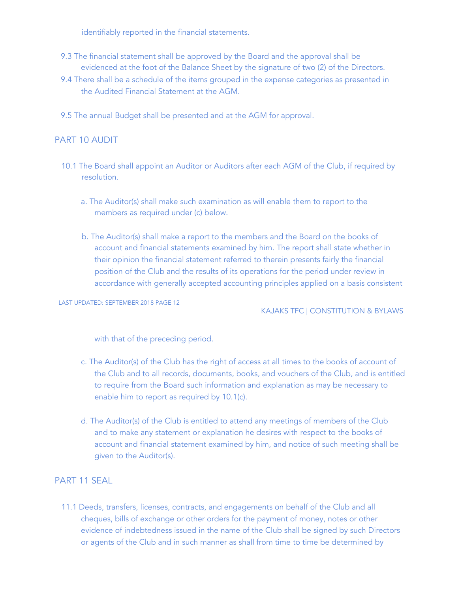identifiably reported in the financial statements.

- 9.3 The financial statement shall be approved by the Board and the approval shall be evidenced at the foot of the Balance Sheet by the signature of two (2) of the Directors.
- 9.4 There shall be a schedule of the items grouped in the expense categories as presented in the Audited Financial Statement at the AGM.
- 9.5 The annual Budget shall be presented and at the AGM for approval.

## PART 10 AUDIT

- 10.1 The Board shall appoint an Auditor or Auditors after each AGM of the Club, if required by resolution.
	- a. The Auditor(s) shall make such examination as will enable them to report to the members as required under (c) below.
	- b. The Auditor(s) shall make a report to the members and the Board on the books of account and financial statements examined by him. The report shall state whether in their opinion the financial statement referred to therein presents fairly the financial position of the Club and the results of its operations for the period under review in accordance with generally accepted accounting principles applied on a basis consistent

LAST UPDATED: SEPTEMBER 2018 PAGE 12

KAJAKS TFC | CONSTITUTION & BYLAWS

with that of the preceding period.

- c. The Auditor(s) of the Club has the right of access at all times to the books of account of the Club and to all records, documents, books, and vouchers of the Club, and is entitled to require from the Board such information and explanation as may be necessary to enable him to report as required by 10.1(c).
- d. The Auditor(s) of the Club is entitled to attend any meetings of members of the Club and to make any statement or explanation he desires with respect to the books of account and financial statement examined by him, and notice of such meeting shall be given to the Auditor(s).

## PART 11 SEAL

11.1 Deeds, transfers, licenses, contracts, and engagements on behalf of the Club and all cheques, bills of exchange or other orders for the payment of money, notes or other evidence of indebtedness issued in the name of the Club shall be signed by such Directors or agents of the Club and in such manner as shall from time to time be determined by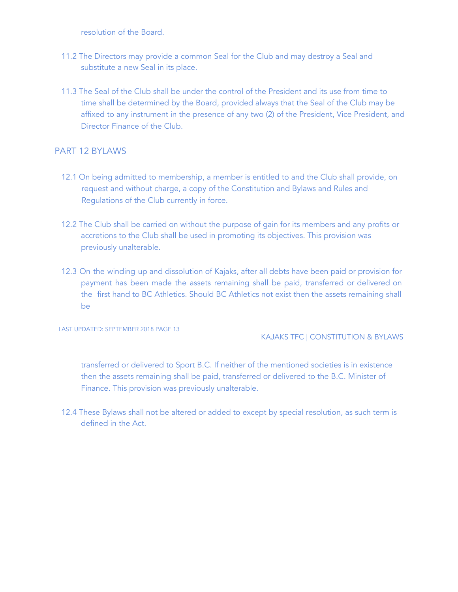resolution of the Board.

- 11.2 The Directors may provide a common Seal for the Club and may destroy a Seal and substitute a new Seal in its place.
- 11.3 The Seal of the Club shall be under the control of the President and its use from time to time shall be determined by the Board, provided always that the Seal of the Club may be affixed to any instrument in the presence of any two (2) of the President, Vice President, and Director Finance of the Club.

## PART 12 BYLAWS

- 12.1 On being admitted to membership, a member is entitled to and the Club shall provide, on request and without charge, a copy of the Constitution and Bylaws and Rules and Regulations of the Club currently in force.
- 12.2 The Club shall be carried on without the purpose of gain for its members and any profits or accretions to the Club shall be used in promoting its objectives. This provision was previously unalterable.
- 12.3 On the winding up and dissolution of Kajaks, after all debts have been paid or provision for payment has been made the assets remaining shall be paid, transferred or delivered on the first hand to BC Athletics. Should BC Athletics not exist then the assets remaining shall be

LAST UPDATED: SEPTEMBER 2018 PAGE 13

### KAJAKS TFC | CONSTITUTION & BYLAWS

transferred or delivered to Sport B.C. If neither of the mentioned societies is in existence then the assets remaining shall be paid, transferred or delivered to the B.C. Minister of Finance. This provision was previously unalterable.

12.4 These Bylaws shall not be altered or added to except by special resolution, as such term is defined in the Act.